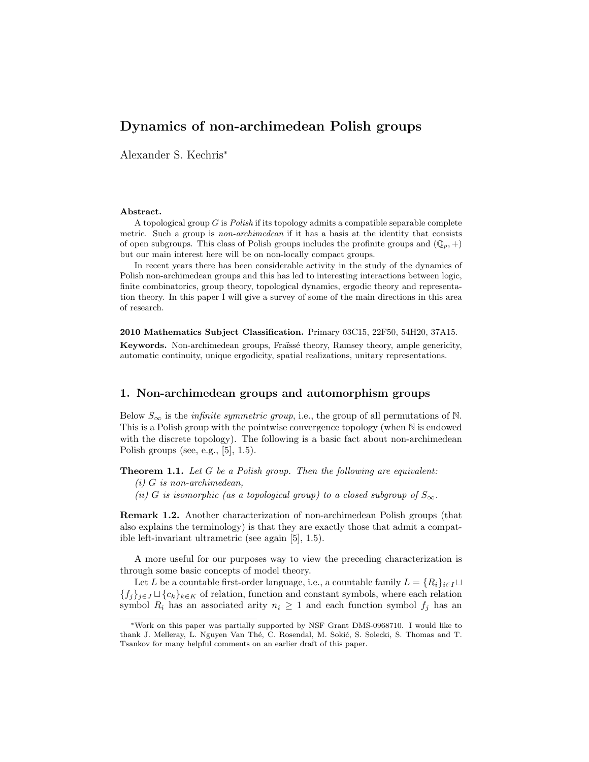Alexander S. Kechris<sup>∗</sup>

#### Abstract.

A topological group  $G$  is *Polish* if its topology admits a compatible separable complete metric. Such a group is *non-archimedean* if it has a basis at the identity that consists of open subgroups. This class of Polish groups includes the profinite groups and  $(\mathbb{Q}_p, +)$ but our main interest here will be on non-locally compact groups.

In recent years there has been considerable activity in the study of the dynamics of Polish non-archimedean groups and this has led to interesting interactions between logic, finite combinatorics, group theory, topological dynamics, ergodic theory and representation theory. In this paper I will give a survey of some of the main directions in this area of research.

2010 Mathematics Subject Classification. Primary 03C15, 22F50, 54H20, 37A15. Keywords. Non-archimedean groups, Fraïssé theory, Ramsey theory, ample genericity, automatic continuity, unique ergodicity, spatial realizations, unitary representations.

#### 1. Non-archimedean groups and automorphism groups

Below  $S_{\infty}$  is the *infinite symmetric group*, i.e., the group of all permutations of N. This is a Polish group with the pointwise convergence topology (when N is endowed with the discrete topology). The following is a basic fact about non-archimedean Polish groups (see, e.g.,  $[5]$ , 1.5).

Theorem 1.1. Let G be a Polish group. Then the following are equivalent:

- $(i)$  G is non-archimedean,
- (ii) G is isomorphic (as a topological group) to a closed subgroup of  $S_{\infty}$ .

Remark 1.2. Another characterization of non-archimedean Polish groups (that also explains the terminology) is that they are exactly those that admit a compatible left-invariant ultrametric (see again [5], 1.5).

A more useful for our purposes way to view the preceding characterization is through some basic concepts of model theory.

Let L be a countable first-order language, i.e., a countable family  $L = \{R_i\}_{i \in I} \cup$  ${f_j}_{j\in J} \sqcup {c_k}_{k\in K}$  of relation, function and constant symbols, where each relation symbol  $R_i$  has an associated arity  $n_i \geq 1$  and each function symbol  $f_j$  has an

<sup>∗</sup>Work on this paper was partially supported by NSF Grant DMS-0968710. I would like to thank J. Melleray, L. Nguyen Van Thé, C. Rosendal, M. Sokić, S. Solecki, S. Thomas and T. Tsankov for many helpful comments on an earlier draft of this paper.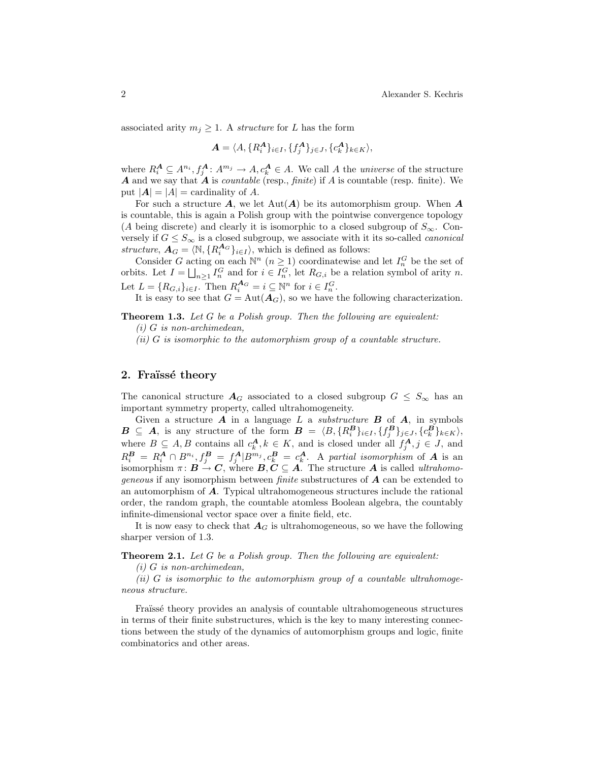associated arity  $m_j \geq 1$ . A *structure* for L has the form

$$
\mathbf{A} = \langle A, \{R_i^{\mathbf{A}}\}_{i \in I}, \{f_j^{\mathbf{A}}\}_{j \in J}, \{c_k^{\mathbf{A}}\}_{k \in K} \rangle
$$

where  $R_i^{\mathbf{A}} \subseteq A^{n_i}, f_j^{\mathbf{A}}: A^{m_j} \to A, c_k^{\mathbf{A}} \in A$ . We call A the universe of the structure **A** and we say that  $\vec{A}$  is *countable* (resp., *finite*) if  $\vec{A}$  is countable (resp. finite). We put  $|A| = |A|$  = cardinality of A.

For such a structure  $\mathbf{A}$ , we let  $\text{Aut}(\mathbf{A})$  be its automorphism group. When  $\mathbf{A}$ is countable, this is again a Polish group with the pointwise convergence topology (A being discrete) and clearly it is isomorphic to a closed subgroup of  $S_{\infty}$ . Conversely if  $G \leq S_{\infty}$  is a closed subgroup, we associate with it its so-called *canonical* structure,  $A_G = \langle \mathbb{N}, \{R_i^{A_G}\}_{i \in I} \rangle$ , which is defined as follows:

Consider G acting on each  $\mathbb{N}^n$   $(n \geq 1)$  coordinatewise and let  $I_n^G$  be the set of orbits. Let  $I = \bigsqcup_{n \geq 1} I_n^G$  and for  $i \in I_n^G$ , let  $R_{G,i}$  be a relation symbol of arity n. Let  $L = \{R_{G,i}\}_{i \in I}$ . Then  $R_i^{\mathbf{A}_G} = i \subseteq \mathbb{N}^n$  for  $i \in I_n^G$ .

It is easy to see that  $G = Aut(\mathbf{A}_G)$ , so we have the following characterization.

**Theorem 1.3.** Let  $G$  be a Polish group. Then the following are equivalent:

 $(ii)$  G is isomorphic to the automorphism group of a countable structure.

### 2. Fraïssé theory

The canonical structure  $A_G$  associated to a closed subgroup  $G \leq S_{\infty}$  has an important symmetry property, called ultrahomogeneity.

Given a structure  $\boldsymbol{A}$  in a language  $L$  a *substructure*  $\boldsymbol{B}$  of  $\boldsymbol{A}$ , in symbols  $\mathbf{B} \subseteq \mathbf{A}$ , is any structure of the form  $\mathbf{B} = \langle B, \{R_i^{\mathbf{B}}\}_{i \in I}, \{f_j^{\mathbf{B}}\}_{j \in J}, \{c_k^{\mathbf{B}}\}_{k \in K} \rangle$ , where  $B \subseteq A, B$  contains all  $c_k^A, k \in K$ , and is closed under all  $f_j^A, j \in J$ , and  $R_i^{\pmb{B}} = R_i^{\pmb{A}} \cap B^{n_i}, f_j^{\pmb{B}} = f_j^{\pmb{A}} | B^{m_j}, c_k^{\pmb{B}} = c_k^{\pmb{A}}.$  A partial isomorphism of  $\pmb{A}$  is an isomorphism  $\pi: B \to C$ , where  $B, C \subseteq A$ . The structure A is called *ultrahomo*geneous if any isomorphism between finite substructures of A can be extended to an automorphism of A. Typical ultrahomogeneous structures include the rational order, the random graph, the countable atomless Boolean algebra, the countably infinite-dimensional vector space over a finite field, etc.

It is now easy to check that  $A_G$  is ultrahomogeneous, so we have the following sharper version of 1.3.

**Theorem 2.1.** Let  $G$  be a Polish group. Then the following are equivalent:

 $(i)$  G is non-archimedean,

(ii) G is isomorphic to the automorphism group of a countable ultrahomogeneous structure.

Fraïssé theory provides an analysis of countable ultrahomogeneous structures in terms of their finite substructures, which is the key to many interesting connections between the study of the dynamics of automorphism groups and logic, finite combinatorics and other areas.

 $(i)$  G is non-archimedean,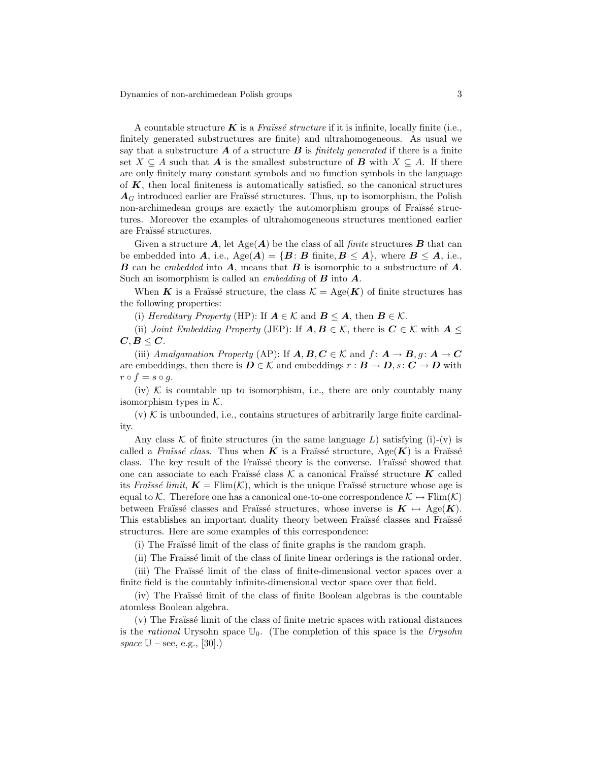A countable structure  $K$  is a Fraüssé structure if it is infinite, locally finite (i.e., finitely generated substructures are finite) and ultrahomogeneous. As usual we say that a substructure  $\boldsymbol{A}$  of a structure  $\boldsymbol{B}$  is *finitely generated* if there is a finite set  $X \subseteq A$  such that **A** is the smallest substructure of **B** with  $X \subseteq A$ . If there are only finitely many constant symbols and no function symbols in the language of  $K$ , then local finiteness is automatically satisfied, so the canonical structures  $A_G$  introduced earlier are Fraïssé structures. Thus, up to isomorphism, the Polish non-archimedean groups are exactly the automorphism groups of Fraüssé structures. Moreover the examples of ultrahomogeneous structures mentioned earlier are Fraïssé structures.

Given a structure  $\mathbf{A}$ , let  $\text{Age}(\mathbf{A})$  be the class of all finite structures  $\mathbf{B}$  that can be embedded into A, i.e.,  $Age(A) = {B : B}$  finite,  $B \leq A$ , where  $B \leq A$ , i.e., **B** can be embedded into **A**, means that **B** is isomorphic to a substructure of **A**. Such an isomorphism is called an *embedding* of  $\bf{B}$  into  $\bf{A}$ .

When K is a Fraïssé structure, the class  $\mathcal{K} = \text{Age}(\mathbf{K})$  of finite structures has the following properties:

(i) Hereditary Property (HP): If  $A \in \mathcal{K}$  and  $B \leq A$ , then  $B \in \mathcal{K}$ .

(ii) Joint Embedding Property (JEP): If  $A, B \in \mathcal{K}$ , there is  $C \in \mathcal{K}$  with  $A \leq$  $C, B \leq C.$ 

(iii) Amalgamation Property (AP): If  $A, B, C \in \mathcal{K}$  and  $f: A \rightarrow B, g: A \rightarrow C$ are embeddings, then there is  $D \in \mathcal{K}$  and embeddings  $r : B \to D$ ,  $s : C \to D$  with  $r \circ f = s \circ q$ .

(iv)  $K$  is countable up to isomorphism, i.e., there are only countably many isomorphism types in  $K$ .

 $(v)$  K is unbounded, i.e., contains structures of arbitrarily large finite cardinality.

Any class K of finite structures (in the same language L) satisfying (i)-(v) is called a Fraïssé class. Thus when K is a Fraïssé structure,  $Age(K)$  is a Fraïssé class. The key result of the Fraïssé theory is the converse. Fraïssé showed that one can associate to each Fraïssé class  $K$  a canonical Fraïssé structure K called its Fraüssé limit,  $\mathbf{K} = \text{Elim}(\mathcal{K})$ , which is the unique Fraüssé structure whose age is equal to K. Therefore one has a canonical one-to-one correspondence  $\mathcal{K} \mapsto \text{Flim}(\mathcal{K})$ between Fraïssé classes and Fraïssé structures, whose inverse is  $K \mapsto \text{Age}(K)$ . This establishes an important duality theory between Fraïssé classes and Fraïssé structures. Here are some examples of this correspondence:

(i) The Fraüssé limit of the class of finite graphs is the random graph.

(ii) The Fraüsse limit of the class of finite linear orderings is the rational order.

(iii) The Fraüssé limit of the class of finite-dimensional vector spaces over a finite field is the countably infinite-dimensional vector space over that field.

 $(iv)$  The Fraüssé limit of the class of finite Boolean algebras is the countable atomless Boolean algebra.

 $(v)$  The Fraïssé limit of the class of finite metric spaces with rational distances is the *rational* Urysohn space  $\mathbb{U}_0$ . (The completion of this space is the Urysohn space  $\mathbb{U}$  – see, e.g., [30].)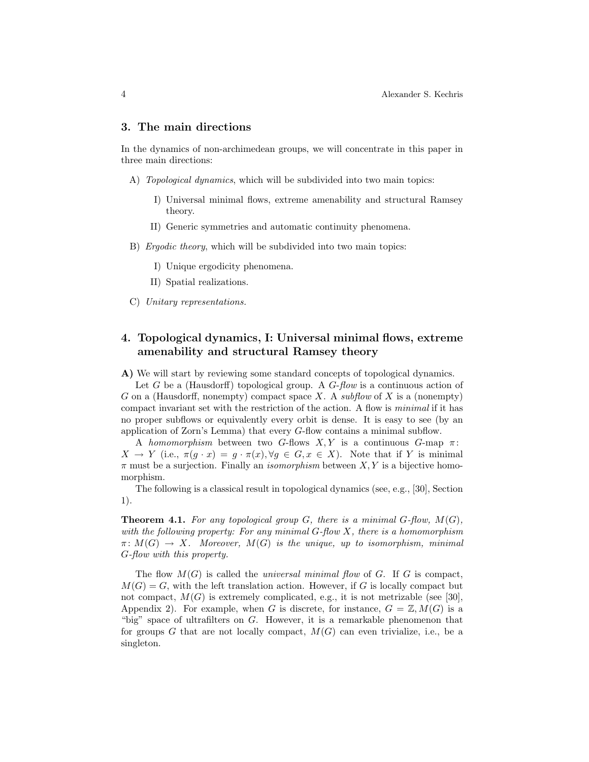### 3. The main directions

In the dynamics of non-archimedean groups, we will concentrate in this paper in three main directions:

- A) Topological dynamics, which will be subdivided into two main topics:
	- I) Universal minimal flows, extreme amenability and structural Ramsey theory.
	- II) Generic symmetries and automatic continuity phenomena.
- B) Ergodic theory, which will be subdivided into two main topics:
	- I) Unique ergodicity phenomena.
	- II) Spatial realizations.
- C) Unitary representations.

# 4. Topological dynamics, I: Universal minimal flows, extreme amenability and structural Ramsey theory

A) We will start by reviewing some standard concepts of topological dynamics.

Let G be a (Hausdorff) topological group. A  $G$ -flow is a continuous action of G on a (Hausdorff, nonempty) compact space X. A subflow of X is a (nonempty) compact invariant set with the restriction of the action. A flow is minimal if it has no proper subflows or equivalently every orbit is dense. It is easy to see (by an application of Zorn's Lemma) that every G-flow contains a minimal subflow.

A homomorphism between two G-flows  $X, Y$  is a continuous G-map  $\pi$ :  $X \to Y$  (i.e.,  $\pi(q \cdot x) = q \cdot \pi(x), \forall q \in G, x \in X$ ). Note that if Y is minimal  $\pi$  must be a surjection. Finally an *isomorphism* between  $X, Y$  is a bijective homomorphism.

The following is a classical result in topological dynamics (see, e.g., [30], Section 1).

**Theorem 4.1.** For any topological group G, there is a minimal  $G$ -flow,  $M(G)$ , with the following property: For any minimal  $G$ -flow  $X$ , there is a homomorphism  $\pi \colon M(G) \to X$ . Moreover,  $M(G)$  is the unique, up to isomorphism, minimal G-flow with this property.

The flow  $M(G)$  is called the *universal minimal flow* of G. If G is compact,  $M(G) = G$ , with the left translation action. However, if G is locally compact but not compact,  $M(G)$  is extremely complicated, e.g., it is not metrizable (see [30], Appendix 2). For example, when G is discrete, for instance,  $G = \mathbb{Z}, M(G)$  is a "big" space of ultrafilters on G. However, it is a remarkable phenomenon that for groups G that are not locally compact,  $M(G)$  can even trivialize, i.e., be a singleton.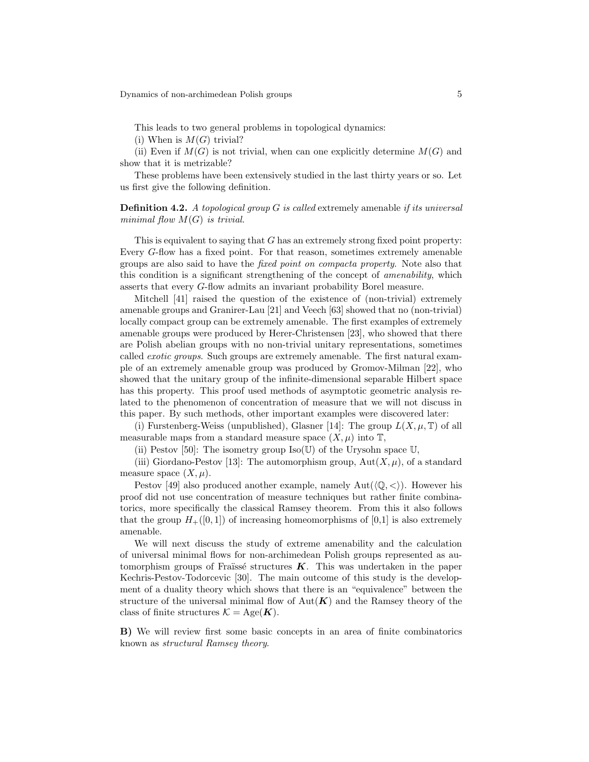This leads to two general problems in topological dynamics:

(i) When is  $M(G)$  trivial?

(ii) Even if  $M(G)$  is not trivial, when can one explicitly determine  $M(G)$  and show that it is metrizable?

These problems have been extensively studied in the last thirty years or so. Let us first give the following definition.

**Definition 4.2.** A topological group  $G$  is called extremely amenable if its universal minimal flow  $M(G)$  is trivial.

This is equivalent to saying that G has an extremely strong fixed point property: Every G-flow has a fixed point. For that reason, sometimes extremely amenable groups are also said to have the fixed point on compacta property. Note also that this condition is a significant strengthening of the concept of *amenability*, which asserts that every G-flow admits an invariant probability Borel measure.

Mitchell [41] raised the question of the existence of (non-trivial) extremely amenable groups and Granirer-Lau [21] and Veech [63] showed that no (non-trivial) locally compact group can be extremely amenable. The first examples of extremely amenable groups were produced by Herer-Christensen [23], who showed that there are Polish abelian groups with no non-trivial unitary representations, sometimes called exotic groups. Such groups are extremely amenable. The first natural example of an extremely amenable group was produced by Gromov-Milman [22], who showed that the unitary group of the infinite-dimensional separable Hilbert space has this property. This proof used methods of asymptotic geometric analysis related to the phenomenon of concentration of measure that we will not discuss in this paper. By such methods, other important examples were discovered later:

(i) Furstenberg-Weiss (unpublished), Glasner [14]: The group  $L(X, \mu, \mathbb{T})$  of all measurable maps from a standard measure space  $(X, \mu)$  into  $\mathbb{T}$ ,

(ii) Pestov [50]: The isometry group  $Iso(U)$  of the Urysohn space U,

(iii) Giordano-Pestov [13]: The automorphism group,  $Aut(X, \mu)$ , of a standard measure space  $(X, \mu)$ .

Pestov [49] also produced another example, namely  $Aut(\langle \mathbb{Q}, \langle \rangle)$ . However his proof did not use concentration of measure techniques but rather finite combinatorics, more specifically the classical Ramsey theorem. From this it also follows that the group  $H_+([0,1])$  of increasing homeomorphisms of [0,1] is also extremely amenable.

We will next discuss the study of extreme amenability and the calculation of universal minimal flows for non-archimedean Polish groups represented as automorphism groups of Fraïssé structures  $K$ . This was undertaken in the paper Kechris-Pestov-Todorcevic [30]. The main outcome of this study is the development of a duality theory which shows that there is an "equivalence" between the structure of the universal minimal flow of  $Aut(K)$  and the Ramsey theory of the class of finite structures  $\mathcal{K} = \text{Age}(\mathbf{K})$ .

B) We will review first some basic concepts in an area of finite combinatorics known as structural Ramsey theory.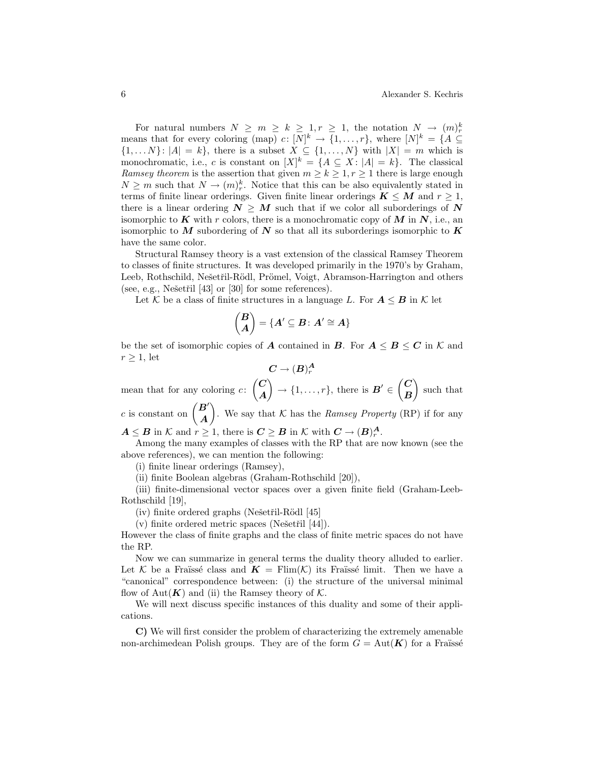For natural numbers  $N \ge m \ge k \ge 1, r \ge 1$ , the notation  $N \to (m)_r^k$ means that for every coloring (map)  $c: [N]^k \to \{1, ..., r\}$ , where  $[N]^k = \{A \subseteq$  $\{1, \ldots N\}$ :  $|A| = k\}$ , there is a subset  $X \subseteq \{1, \ldots, N\}$  with  $|X| = m$  which is monochromatic, i.e., c is constant on  $[X]^k = \{A \subseteq X : |A| = k\}$ . The classical Ramsey theorem is the assertion that given  $m \ge k \ge 1, r \ge 1$  there is large enough  $N \geq m$  such that  $N \to (m)_r^k$ . Notice that this can be also equivalently stated in terms of finite linear orderings. Given finite linear orderings  $K \leq M$  and  $r \geq 1$ , there is a linear ordering  $N \geq M$  such that if we color all suborderings of N isomorphic to K with r colors, there is a monochromatic copy of M in N, i.e., an isomorphic to M subordering of N so that all its suborderings isomorphic to K have the same color.

Structural Ramsey theory is a vast extension of the classical Ramsey Theorem to classes of finite structures. It was developed primarily in the 1970's by Graham, Leeb, Rothschild, Nešetřil-Rödl, Prömel, Voigt, Abramson-Harrington and others (see, e.g., Nešetřil  $[43]$  or  $[30]$  for some references).

Let K be a class of finite structures in a language L. For  $A \leq B$  in K let

$$
\binom{B}{A} = \{A' \subseteq B \colon A' \cong A\}
$$

be the set of isomorphic copies of A contained in B. For  $A \leq B \leq C$  in K and  $r > 1$ , let

$$
\boldsymbol{C}\to (\boldsymbol{B})^{\boldsymbol{A}}_r
$$

mean that for any coloring  $c: \begin{pmatrix} C \\ A \end{pmatrix}$ A  $\Big\} \rightarrow \{1,\ldots,r\},\$  there is  $B' \in \left\{ \begin{matrix} C \\ D \end{matrix} \right\}$ B such that c is constant on  $\begin{pmatrix} B' \\ A \end{pmatrix}$ A ). We say that K has the Ramsey Property (RP) if for any

 $A \leq B$  in K and  $r \geq 1$ , there is  $C \geq B$  in K with  $C \to (B)^{A}_{r}$ .

Among the many examples of classes with the RP that are now known (see the above references), we can mention the following:

(i) finite linear orderings (Ramsey),

(ii) finite Boolean algebras (Graham-Rothschild [20]),

(iii) finite-dimensional vector spaces over a given finite field (Graham-Leeb-Rothschild [19],

- $(iv)$  finite ordered graphs (Nešetřil-Rödl [45]
- (v) finite ordered metric spaces (Nešetřil  $[44]$ ).

However the class of finite graphs and the class of finite metric spaces do not have the RP.

Now we can summarize in general terms the duality theory alluded to earlier. Let K be a Fraïssé class and  $\mathbf{K} = \text{Flim}(\mathcal{K})$  its Fraïssé limit. Then we have a "canonical" correspondence between: (i) the structure of the universal minimal flow of Aut $(K)$  and (ii) the Ramsey theory of K.

We will next discuss specific instances of this duality and some of their applications.

C) We will first consider the problem of characterizing the extremely amenable non-archimedean Polish groups. They are of the form  $G = Aut(K)$  for a Fraüsse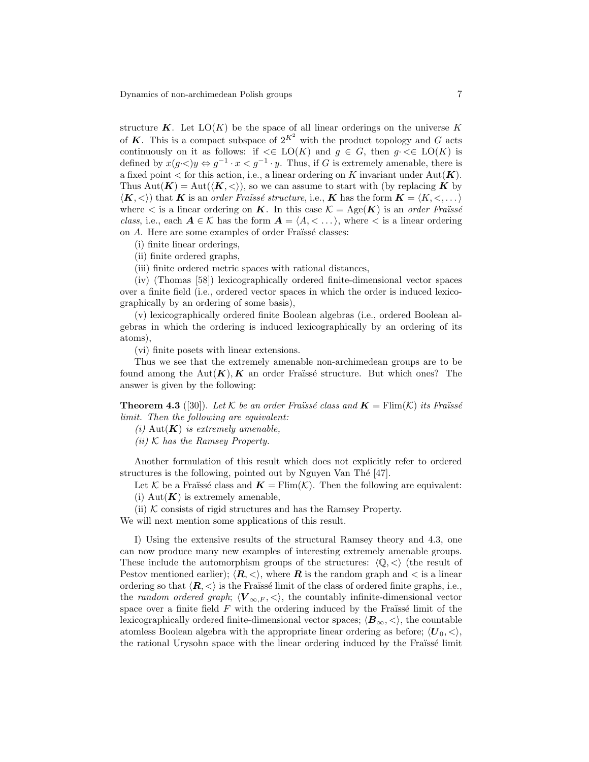structure  $K$ . Let  $LO(K)$  be the space of all linear orderings on the universe K of K. This is a compact subspace of  $2^{K^2}$  with the product topology and G acts continuously on it as follows: if  $\leq E$   $LO(K)$  and  $g \in G$ , then  $g \leq E$   $LO(K)$  is defined by  $x(g\prec)y \Leftrightarrow g^{-1}\cdot x < g^{-1}\cdot y$ . Thus, if G is extremely amenable, there is a fixed point  $\lt$  for this action, i.e., a linear ordering on K invariant under Aut $(K)$ . Thus  $Aut(K) = Aut(\langle K, \langle \rangle)$ , so we can assume to start with (by replacing K by  $\langle K, \langle \rangle$  that K is an *order Fraüssé structure*, i.e., K has the form  $K = \langle K, \langle \dots \rangle$ where  $\lt$  is a linear ordering on **K**. In this case  $\mathcal{K} = \text{Age}(\mathbf{K})$  is an order Fraüssé class, i.e., each  $A \in \mathcal{K}$  has the form  $A = \langle A, \langle \ldots \rangle$ , where  $\langle \langle \ldots \rangle$  is a linear ordering on  $A$ . Here are some examples of order Fraïssé classes:

- (i) finite linear orderings,
- (ii) finite ordered graphs,
- (iii) finite ordered metric spaces with rational distances,

(iv) (Thomas [58]) lexicographically ordered finite-dimensional vector spaces over a finite field (i.e., ordered vector spaces in which the order is induced lexicographically by an ordering of some basis),

(v) lexicographically ordered finite Boolean algebras (i.e., ordered Boolean algebras in which the ordering is induced lexicographically by an ordering of its atoms),

(vi) finite posets with linear extensions.

Thus we see that the extremely amenable non-archimedean groups are to be found among the  $Aut(K), K$  an order Fraüssé structure. But which ones? The answer is given by the following:

**Theorem 4.3** ([30]). Let K be an order Fraüssé class and  $\mathbf{K} = \text{Flim}(\mathcal{K})$  its Fraüssé limit. Then the following are equivalent:

- (i) Aut $(K)$  is extremely amenable,
- $(ii)$  K has the Ramsey Property.

Another formulation of this result which does not explicitly refer to ordered structures is the following, pointed out by Nguyen Van Thé  $[47]$ .

Let K be a Fraüssé class and  $\mathbf{K} = \text{Flim}(\mathcal{K})$ . Then the following are equivalent: (i)  $Aut(K)$  is extremely amenable,

(ii)  $K$  consists of rigid structures and has the Ramsey Property.

We will next mention some applications of this result.

I) Using the extensive results of the structural Ramsey theory and 4.3, one can now produce many new examples of interesting extremely amenable groups. These include the automorphism groups of the structures:  $\langle \mathbb{Q}, \langle \rangle$  (the result of Pestov mentioned earlier);  $\langle \mathbf{R}, \langle \rangle$ , where **R** is the random graph and  $\langle$  is a linear ordering so that  $\langle \mathbf{R}, \langle \rangle$  is the Fraüssé limit of the class of ordered finite graphs, i.e., the random ordered graph;  $\langle V_{\infty,F} , \langle \rangle$ , the countably infinite-dimensional vector space over a finite field  $F$  with the ordering induced by the Fraüssé limit of the lexicographically ordered finite-dimensional vector spaces;  $\langle B_{\infty}, \langle \rangle$ , the countable atomless Boolean algebra with the appropriate linear ordering as before;  $\langle U_0, \langle \rangle$ , the rational Urysohn space with the linear ordering induced by the Fraissé limit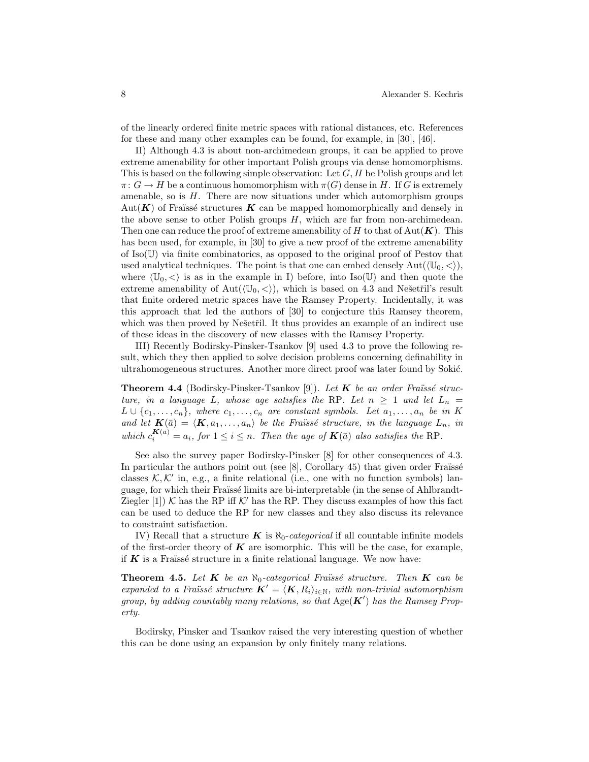of the linearly ordered finite metric spaces with rational distances, etc. References for these and many other examples can be found, for example, in [30], [46].

II) Although 4.3 is about non-archimedean groups, it can be applied to prove extreme amenability for other important Polish groups via dense homomorphisms. This is based on the following simple observation: Let  $G, H$  be Polish groups and let  $\pi: G \to H$  be a continuous homomorphism with  $\pi(G)$  dense in H. If G is extremely amenable, so is  $H$ . There are now situations under which automorphism groups Aut( $\mathbf{K}$ ) of Fraüssé structures  $\mathbf{K}$  can be mapped homomorphically and densely in the above sense to other Polish groups  $H$ , which are far from non-archimedean. Then one can reduce the proof of extreme amenability of H to that of Aut $(K)$ . This has been used, for example, in [30] to give a new proof of the extreme amenability of  $\text{Iso}(\mathbb{U})$  via finite combinatorics, as opposed to the original proof of Pestov that used analytical techniques. The point is that one can embed densely  $Aut(\mathbb{U}_0, \langle \rangle),$ where  $\langle \mathbb{U}_0, \langle \rangle$  is as in the example in I) before, into Iso(U) and then quote the extreme amenability of Aut( $\langle \mathbb{U}_0, \langle \rangle$ ), which is based on 4.3 and Nešetřil's result that finite ordered metric spaces have the Ramsey Property. Incidentally, it was this approach that led the authors of [30] to conjecture this Ramsey theorem, which was then proved by Nešetřil. It thus provides an example of an indirect use of these ideas in the discovery of new classes with the Ramsey Property.

III) Recently Bodirsky-Pinsker-Tsankov [9] used 4.3 to prove the following result, which they then applied to solve decision problems concerning definability in ultrahomogeneous structures. Another more direct proof was later found by Sokić.

**Theorem 4.4** (Bodirsky-Pinsker-Tsankov [9]). Let  $K$  be an order Fraüssé structure, in a language L, whose age satisfies the RP. Let  $n \geq 1$  and let  $L_n =$  $L \cup \{c_1, \ldots, c_n\}$ , where  $c_1, \ldots, c_n$  are constant symbols. Let  $a_1, \ldots, a_n$  be in K and let  $\mathbf{K}(\bar{a}) = \langle \mathbf{K}, a_1, \ldots, a_n \rangle$  be the Fraüssé structure, in the language  $L_n$ , in which  $c_i^{K(\bar{a})} = a_i$ , for  $1 \leq i \leq n$ . Then the age of  $K(\bar{a})$  also satisfies the RP.

See also the survey paper Bodirsky-Pinsker [8] for other consequences of 4.3. In particular the authors point out (see  $[8]$ , Corollary 45) that given order Fraüssé classes  $K, K'$  in, e.g., a finite relational (i.e., one with no function symbols) language, for which their Fraïsse limits are bi-interpretable (in the sense of Ahlbrandt-Ziegler [1]) K has the RP iff K' has the RP. They discuss examples of how this fact can be used to deduce the RP for new classes and they also discuss its relevance to constraint satisfaction.

IV) Recall that a structure K is  $\aleph_0$ -categorical if all countable infinite models of the first-order theory of  $\boldsymbol{K}$  are isomorphic. This will be the case, for example, if  $K$  is a Fraüssé structure in a finite relational language. We now have:

**Theorem 4.5.** Let  $K$  be an  $\aleph_0$ -categorical Fraüssé structure. Then  $K$  can be expanded to a Fraüssé structure  $\mathbf{K}' = \langle \mathbf{K}, R_i \rangle_{i \in \mathbb{N}}$ , with non-trivial automorphism group, by adding countably many relations, so that  $Age(K')$  has the Ramsey Property.

Bodirsky, Pinsker and Tsankov raised the very interesting question of whether this can be done using an expansion by only finitely many relations.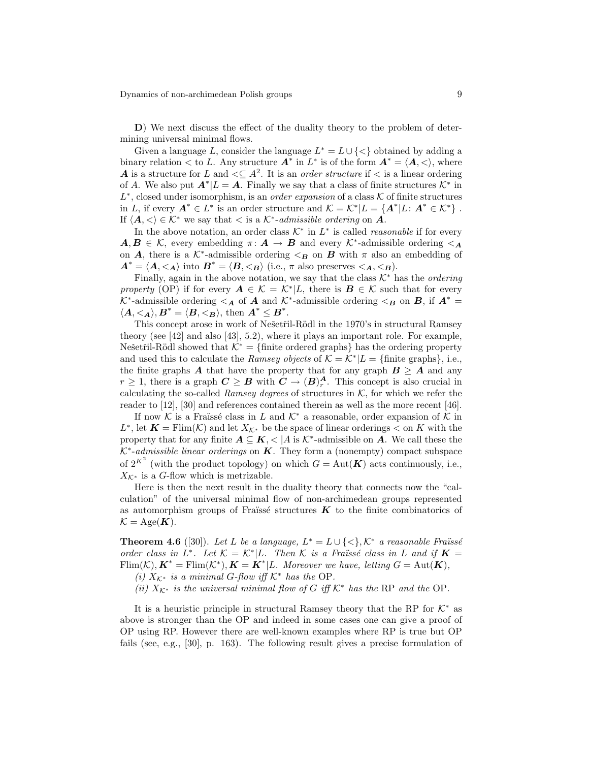D) We next discuss the effect of the duality theory to the problem of determining universal minimal flows.

Given a language L, consider the language  $L^* = L \cup \{ \leq \}$  obtained by adding a binary relation  $\lt$  to L. Any structure  $A^*$  in  $L^*$  is of the form  $A^* = \langle A, \lt \rangle$ , where A is a structure for L and  $\leq \leq A^2$ . It is an *order structure* if  $\lt$  is a linear ordering of A. We also put  $A^* | L = A$ . Finally we say that a class of finite structures  $\mathcal{K}^*$  in  $L^*$ , closed under isomorphism, is an *order expansion* of a class  $K$  of finite structures in L, if every  $A^* \in L^*$  is an order structure and  $\mathcal{K} = \mathcal{K}^* | L = \{A^* | L: A^* \in \mathcal{K}^*\}\$ . If  $\langle A, \langle \rangle \in \mathcal{K}^*$  we say that  $\langle \rangle$  is a  $\mathcal{K}^*$ -admissible ordering on A.

In the above notation, an order class  $K^*$  in  $L^*$  is called *reasonable* if for every  $A, B \in \mathcal{K}$ , every embedding  $\pi \colon A \to B$  and every  $\mathcal{K}^*$ -admissible ordering  $\leq_{\mathbf{A}}$ on **A**, there is a  $K^*$ -admissible ordering  $\lt_B$  on **B** with  $\pi$  also an embedding of  $A^* = \langle A, \langle A \rangle \text{ into } B^* = \langle B, \langle B \rangle \text{ (i.e., } \pi \text{ also preserves } \langle A, \langle B \rangle).$ 

Finally, again in the above notation, we say that the class  $K^*$  has the *ordering* property (OP) if for every  $A \in \mathcal{K} = \mathcal{K}^* | L$ , there is  $B \in \mathcal{K}$  such that for every  $K^*$ -admissible ordering  $\lt_A$  of A and  $K^*$ -admissible ordering  $\lt_B$  on B, if  $A^*$  =  $\langle A, \langle A \rangle, B^* = \langle B, \langle B \rangle, \text{ then } A^* \leq B^*.$ 

This concept arose in work of Nešetřil-Rödl in the 1970's in structural Ramsey theory (see [42] and also [43], 5.2), where it plays an important role. For example, Nešetřil-Rödl showed that  $\mathcal{K}^* = \{\text{finite ordered graphs}\}\$  has the ordering property and used this to calculate the Ramsey objects of  $K = \mathcal{K}^* | L = \{\text{finite graphs}\}\,$ , i.e., the finite graphs A that have the property that for any graph  $B \geq A$  and any  $r \geq 1$ , there is a graph  $C \geq B$  with  $C \to (B)_r^A$ . This concept is also crucial in calculating the so-called Ramsey degrees of structures in  $K$ , for which we refer the reader to [12], [30] and references contained therein as well as the more recent [46].

If now K is a Fraïssé class in L and  $\mathcal{K}^*$  a reasonable, order expansion of K in L<sup>\*</sup>, let  $K = \text{Elim}(\mathcal{K})$  and let  $X_{\mathcal{K}^*}$  be the space of linear orderings  $\lt$  on K with the property that for any finite  $A \subseteq K$ ,  $\lt |A|$  is  $\mathcal{K}^*$ -admissible on  $A$ . We call these the  $K^*$ -admissible linear orderings on  $K$ . They form a (nonempty) compact subspace of  $2^{K^2}$  (with the product topology) on which  $G = Aut(K)$  acts continuously, i.e.,  $X_{\mathcal{K}^*}$  is a G-flow which is metrizable.

Here is then the next result in the duality theory that connects now the "calculation" of the universal minimal flow of non-archimedean groups represented as automorphism groups of Fraïssé structures  $\boldsymbol{K}$  to the finite combinatorics of  $\mathcal{K} = \mathrm{Age}(\boldsymbol{K}).$ 

**Theorem 4.6** ([30]). Let L be a language,  $L^* = L \cup \{<\}$ ,  $K^*$  a reasonable Fraüssé order class in  $L^*$ . Let  $\mathcal{K} = \mathcal{K}^* | L$ . Then  $\mathcal{K}$  is a Fraüssé class in L and if  $\mathbf{K} =$  $\text{Elim}(\mathcal{K}), \mathbf{K}^* = \text{Elim}(\mathcal{K}^*), \mathbf{K} = \mathbf{K}^* | L$ . Moreover we have, letting  $G = \text{Aut}(\mathbf{K}),$ 

(i)  $X_{\mathcal{K}^*}$  is a minimal G-flow iff  $\mathcal{K}^*$  has the OP.

(ii)  $X_{\mathcal{K}^*}$  is the universal minimal flow of G iff  $\mathcal{K}^*$  has the RP and the OP.

It is a heuristic principle in structural Ramsey theory that the RP for  $K^*$  as above is stronger than the OP and indeed in some cases one can give a proof of OP using RP. However there are well-known examples where RP is true but OP fails (see, e.g., [30], p. 163). The following result gives a precise formulation of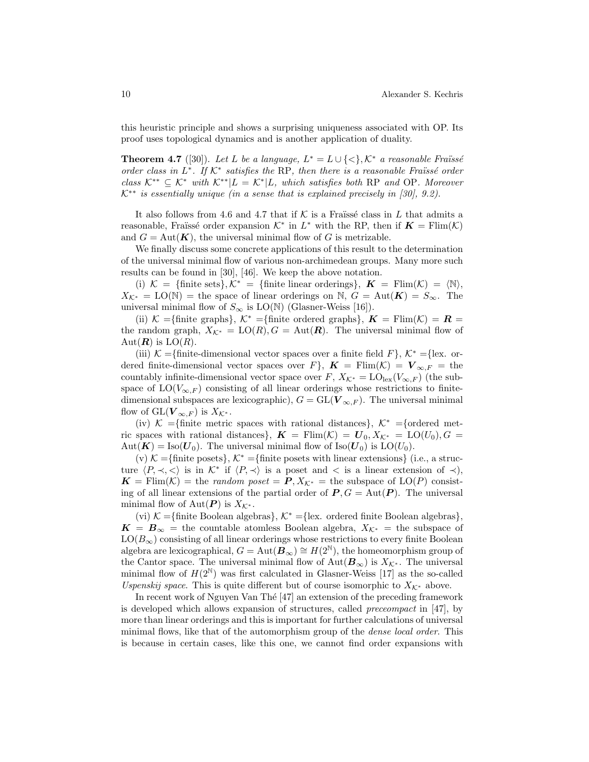this heuristic principle and shows a surprising uniqueness associated with OP. Its proof uses topological dynamics and is another application of duality.

**Theorem 4.7** ([30]). Let L be a language,  $L^* = L \cup \{<\}$ ,  $K^*$  a reasonable Fraüssé order class in  $L^*$ . If  $K^*$  satisfies the RP, then there is a reasonable Fraïssé order class  $K^{**} \subseteq K^*$  with  $K^{**}|L = K^*|L$ , which satisfies both RP and OP. Moreover  $K^{**}$  is essentially unique (in a sense that is explained precisely in [30], 9.2).

It also follows from 4.6 and 4.7 that if K is a Fraïssé class in L that admits a reasonable, Fraüssé order expansion  $K^*$  in  $L^*$  with the RP, then if  $K = \text{Flim}(\mathcal{K})$ and  $G = \text{Aut}(\mathbf{K})$ , the universal minimal flow of G is metrizable.

We finally discuss some concrete applications of this result to the determination of the universal minimal flow of various non-archimedean groups. Many more such results can be found in [30], [46]. We keep the above notation.

(i)  $\mathcal{K} = {\text{finite sets}}, \mathcal{K}^* = {\text{finite linear orderings}}, \boldsymbol{K} = {\text{Elim}}(\mathcal{K}) = \langle \mathbb{N} \rangle,$  $X_{\mathcal{K}^*} = \text{LO}(\mathbb{N}) = \text{the space of linear orderings on } \mathbb{N}, G = \text{Aut}(\mathbf{K}) = S_{\infty}$ . The universal minimal flow of  $S_{\infty}$  is LO(N) (Glasner-Weiss [16]).

(ii) K ={finite graphs}, K<sup>\*</sup> ={finite ordered graphs},  $K = \text{Flim}(\mathcal{K}) = \mathbf{R}$  = the random graph,  $X_{\mathcal{K}^*} = \text{LO}(R), G = \text{Aut}(\mathbf{R})$ . The universal minimal flow of  $Aut(\mathbf{R})$  is  $LO(R)$ .

(iii) K ={finite-dimensional vector spaces over a finite field F},  $K^* =$ {lex. ordered finite-dimensional vector spaces over  $F\}$ ,  $\mathbf{K} = \text{Flim}(\mathcal{K}) = \mathbf{V}_{\infty,F} = \text{the}$ countably infinite-dimensional vector space over F,  $X_{\mathcal{K}^*} = \mathrm{LO}_{\mathrm{lex}}(V_{\infty,F})$  (the subspace of  $LO(V_{\infty,F})$  consisting of all linear orderings whose restrictions to finitedimensional subspaces are lexicographic),  $G = GL(V_{\infty,F})$ . The universal minimal flow of  $\mathrm{GL}(\mathbf{V}_{\infty,F})$  is  $X_{\mathcal{K}^*}$ .

(iv)  $\mathcal{K} =$ {finite metric spaces with rational distances},  $\mathcal{K}^* =$ {ordered metric spaces with rational distances},  $\mathbf{K} = \text{Flim}(\mathcal{K}) = \mathbf{U}_0, X_{\mathcal{K}^*} = \text{LO}(U_0), G =$  $Aut(\mathbf{K}) = Iso(\mathbf{U}_0)$ . The universal minimal flow of  $Iso(\mathbf{U}_0)$  is  $LO(U_0)$ .

(v)  $\mathcal{K} = \{\text{finite posets}\}\,$ ,  $\mathcal{K}^* = \{\text{finite posets with linear extensions}\}\,$  (i.e., a structure  $\langle P, \prec, \prec \rangle$  is in K<sup>\*</sup> if  $\langle P, \prec \rangle$  is a poset and  $\langle$  is a linear extension of  $\prec$ ),  $\mathbf{K} = \text{Flim}(\mathcal{K}) = \text{the random poset} = \mathbf{P}, X_{\mathcal{K}^*} = \text{the subspace of } LO(P) \text{ consist-}$ ing of all linear extensions of the partial order of  $P, G = Aut(P)$ . The universal minimal flow of Aut( $P$ ) is  $X_{\mathcal{K}^*}$ .

(vi)  $\mathcal{K} = \{\text{finite Boolean algebras}\}, \mathcal{K}^* = \{\text{lex. ordered finite Boolean algebras}\},\$  $K = B_{\infty}$  = the countable atomless Boolean algebra,  $X_{\mathcal{K}^*}$  = the subspace of  $LO(B_{\infty})$  consisting of all linear orderings whose restrictions to every finite Boolean algebra are lexicographical,  $G = Aut(\mathbf{B}_{\infty}) \cong H(2^{\mathbb{N}})$ , the homeomorphism group of the Cantor space. The universal minimal flow of  $Aut(\mathbf{B}_{\infty})$  is  $X_{\mathcal{K}^*}$ . The universal minimal flow of  $H(2^{\mathbb{N}})$  was first calculated in Glasner-Weiss [17] as the so-called Uspenskij space. This is quite different but of course isomorphic to  $X_{\mathcal{K}^*}$  above.

In recent work of Nguyen Van Thé [47] an extension of the preceding framework is developed which allows expansion of structures, called preceompact in [47], by more than linear orderings and this is important for further calculations of universal minimal flows, like that of the automorphism group of the *dense local order*. This is because in certain cases, like this one, we cannot find order expansions with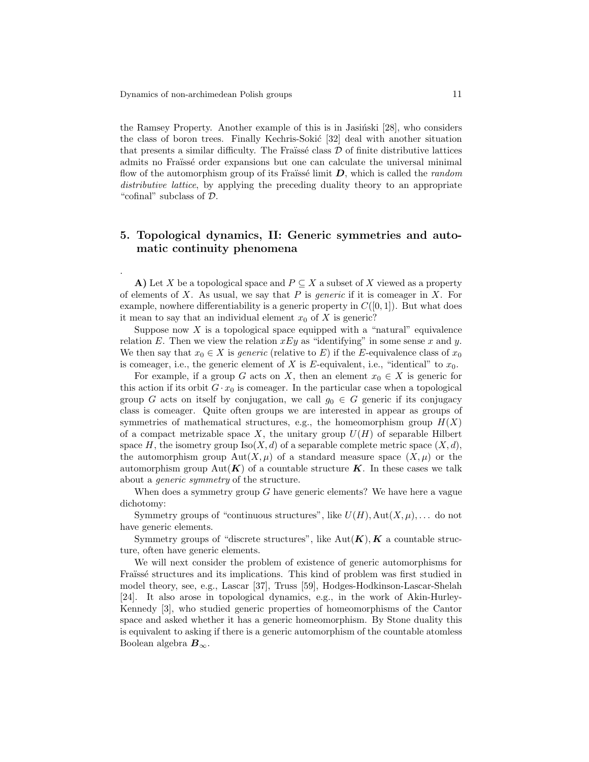.

the Ramsey Property. Another example of this is in Jasin'ski  $[28]$ , who considers the class of boron trees. Finally Kechris-Sokić [32] deal with another situation that presents a similar difficulty. The Fraüssé class  $D$  of finite distributive lattices admits no Fraïssé order expansions but one can calculate the universal minimal flow of the automorphism group of its Fraïssé limit  $D$ , which is called the *random* distributive lattice, by applying the preceding duality theory to an appropriate "cofinal" subclass of D.

# 5. Topological dynamics, II: Generic symmetries and automatic continuity phenomena

A) Let X be a topological space and  $P \subseteq X$  a subset of X viewed as a property of elements of X. As usual, we say that  $P$  is *generic* if it is comeager in X. For example, nowhere differentiability is a generic property in  $C([0, 1])$ . But what does it mean to say that an individual element  $x_0$  of X is generic?

Suppose now X is a topological space equipped with a "natural" equivalence relation E. Then we view the relation  $xEy$  as "identifying" in some sense x and y. We then say that  $x_0 \in X$  is *generic* (relative to E) if the E-equivalence class of  $x_0$ is comeager, i.e., the generic element of  $X$  is  $E$ -equivalent, i.e., "identical" to  $x_0$ .

For example, if a group G acts on X, then an element  $x_0 \in X$  is generic for this action if its orbit  $G \cdot x_0$  is comeager. In the particular case when a topological group G acts on itself by conjugation, we call  $g_0 \in G$  generic if its conjugacy class is comeager. Quite often groups we are interested in appear as groups of symmetries of mathematical structures, e.g., the homeomorphism group  $H(X)$ of a compact metrizable space X, the unitary group  $U(H)$  of separable Hilbert space H, the isometry group  $\text{Iso}(X, d)$  of a separable complete metric space  $(X, d)$ , the automorphism group Aut $(X,\mu)$  of a standard measure space  $(X,\mu)$  or the automorphism group Aut( $\mathbf{K}$ ) of a countable structure  $\mathbf{K}$ . In these cases we talk about a generic symmetry of the structure.

When does a symmetry group  $G$  have generic elements? We have here a vague dichotomy:

Symmetry groups of "continuous structures", like  $U(H)$ ,  $Aut(X, \mu)$ ,... do not have generic elements.

Symmetry groups of "discrete structures", like  $Aut(K), K$  a countable structure, often have generic elements.

We will next consider the problem of existence of generic automorphisms for Fraïssé structures and its implications. This kind of problem was first studied in model theory, see, e.g., Lascar [37], Truss [59], Hodges-Hodkinson-Lascar-Shelah [24]. It also arose in topological dynamics, e.g., in the work of Akin-Hurley-Kennedy [3], who studied generic properties of homeomorphisms of the Cantor space and asked whether it has a generic homeomorphism. By Stone duality this is equivalent to asking if there is a generic automorphism of the countable atomless Boolean algebra  $B_{\infty}$ .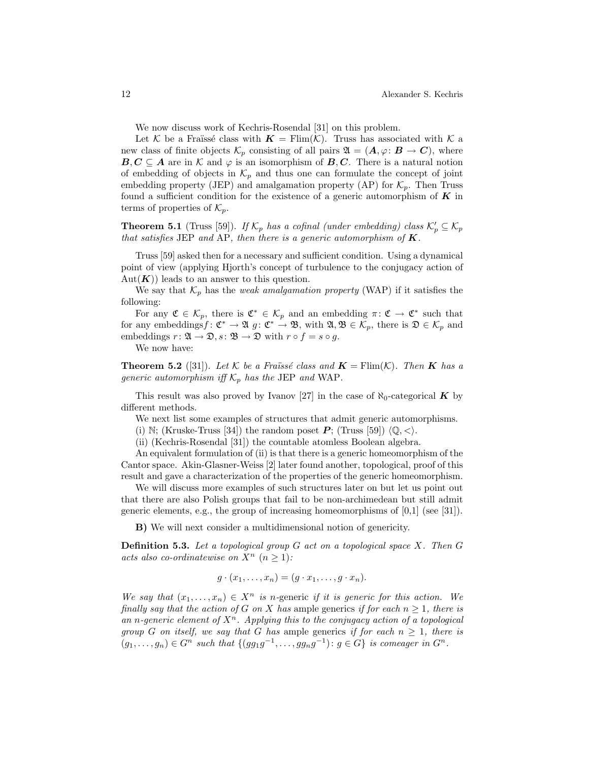We now discuss work of Kechris-Rosendal [31] on this problem.

Let K be a Fraïssé class with  $\mathbf{K} = \text{Flim}(\mathcal{K})$ . Truss has associated with K a new class of finite objects  $\mathcal{K}_p$  consisting of all pairs  $\mathfrak{A} = (\mathbf{A}, \varphi : \mathbf{B} \to \mathbf{C})$ , where  $B, C \subseteq A$  are in K and  $\varphi$  is an isomorphism of  $B, C$ . There is a natural notion of embedding of objects in  $\mathcal{K}_p$  and thus one can formulate the concept of joint embedding property (JEP) and amalgamation property (AP) for  $\mathcal{K}_p$ . Then Truss found a sufficient condition for the existence of a generic automorphism of  $K$  in terms of properties of  $\mathcal{K}_p$ .

**Theorem 5.1** (Truss [59]). If  $\mathcal{K}_p$  has a cofinal (under embedding) class  $\mathcal{K}'_p \subseteq \mathcal{K}_p$ that satisfies JEP and AP, then there is a generic automorphism of  $K$ .

Truss [59] asked then for a necessary and sufficient condition. Using a dynamical point of view (applying Hjorth's concept of turbulence to the conjugacy action of  $Aut(K))$  leads to an answer to this question.

We say that  $\mathcal{K}_p$  has the *weak amalgamation property* (WAP) if it satisfies the following:

For any  $\mathfrak{C} \in \mathcal{K}_p$ , there is  $\mathfrak{C}^* \in \mathcal{K}_p$  and an embedding  $\pi: \mathfrak{C} \to \mathfrak{C}^*$  such that for any embeddings  $f: \mathfrak{C}^* \to \mathfrak{A}$   $g: \mathfrak{C}^* \to \mathfrak{B}$ , with  $\mathfrak{A}, \mathfrak{B} \in \mathcal{K}_p$ , there is  $\mathfrak{D} \in \mathcal{K}_p$  and embeddings  $r: \mathfrak{A} \to \mathfrak{D}, s: \mathfrak{B} \to \mathfrak{D}$  with  $r \circ f = s \circ g$ .

We now have:

**Theorem 5.2** ([31]). Let K be a Fraüssé class and  $\mathbf{K} = \text{Elim}(K)$ . Then **K** has a generic automorphism iff  $\mathcal{K}_p$  has the JEP and WAP.

This result was also proved by Ivanov [27] in the case of  $\aleph_0$ -categorical **K** by different methods.

We next list some examples of structures that admit generic automorphisms.

(i) N; (Kruske-Truss [34]) the random poset  $P$ ; (Truss [59])  $\langle \mathbb{Q}, \langle \rangle$ .

(ii) (Kechris-Rosendal [31]) the countable atomless Boolean algebra.

An equivalent formulation of (ii) is that there is a generic homeomorphism of the Cantor space. Akin-Glasner-Weiss [2] later found another, topological, proof of this result and gave a characterization of the properties of the generic homeomorphism.

We will discuss more examples of such structures later on but let us point out that there are also Polish groups that fail to be non-archimedean but still admit generic elements, e.g., the group of increasing homeomorphisms of  $[0,1]$  (see [31]).

B) We will next consider a multidimensional notion of genericity.

Definition 5.3. Let a topological group G act on a topological space X. Then G acts also co-ordinatewise on  $X^n$   $(n \geq 1)$ :

$$
g \cdot (x_1, \ldots, x_n) = (g \cdot x_1, \ldots, g \cdot x_n).
$$

We say that  $(x_1, \ldots, x_n) \in X^n$  is n-generic if it is generic for this action. We finally say that the action of G on X has ample generics if for each  $n \geq 1$ , there is an n-generic element of  $X^n$ . Applying this to the conjugacy action of a topological group G on itself, we say that G has ample generics if for each  $n \geq 1$ , there is  $(g_1,\ldots,g_n)\in G^n$  such that  $\{(gg_1g^{-1},\ldots,gg_ng^{-1})\colon g\in G\}$  is comeager in  $G^n$ .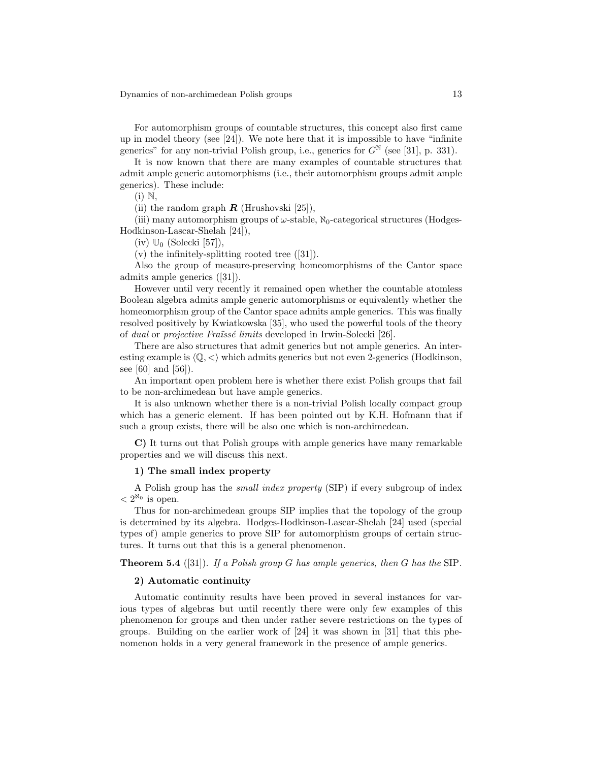For automorphism groups of countable structures, this concept also first came up in model theory (see  $[24]$ ). We note here that it is impossible to have "infinite generics" for any non-trivial Polish group, i.e., generics for  $G^{\mathbb{N}}$  (see [31], p. 331).

It is now known that there are many examples of countable structures that admit ample generic automorphisms (i.e., their automorphism groups admit ample generics). These include:

 $(i) \mathbb{N}$ ,

(ii) the random graph  $\bf{R}$  (Hrushovski [25]),

(iii) many automorphism groups of  $\omega$ -stable,  $\aleph_0$ -categorical structures (Hodges-Hodkinson-Lascar-Shelah [24]),

(iv)  $\mathbb{U}_0$  (Solecki [57]),

 $(v)$  the infinitely-splitting rooted tree  $([31])$ .

Also the group of measure-preserving homeomorphisms of the Cantor space admits ample generics ([31]).

However until very recently it remained open whether the countable atomless Boolean algebra admits ample generic automorphisms or equivalently whether the homeomorphism group of the Cantor space admits ample generics. This was finally resolved positively by Kwiatkowska [35], who used the powerful tools of the theory of *dual* or *projective Fraïssé limits* developed in Irwin-Solecki [26].

There are also structures that admit generics but not ample generics. An interesting example is  $\langle \mathbb{Q}, \langle \rangle$  which admits generics but not even 2-generics (Hodkinson, see [60] and [56]).

An important open problem here is whether there exist Polish groups that fail to be non-archimedean but have ample generics.

It is also unknown whether there is a non-trivial Polish locally compact group which has a generic element. If has been pointed out by K.H. Hofmann that if such a group exists, there will be also one which is non-archimedean.

C) It turns out that Polish groups with ample generics have many remarkable properties and we will discuss this next.

#### 1) The small index property

A Polish group has the small index property (SIP) if every subgroup of index  $< 2^{\aleph_0}$  is open.

Thus for non-archimedean groups SIP implies that the topology of the group is determined by its algebra. Hodges-Hodkinson-Lascar-Shelah [24] used (special types of) ample generics to prove SIP for automorphism groups of certain structures. It turns out that this is a general phenomenon.

**Theorem 5.4** ([31]). If a Polish group G has ample generics, then G has the SIP.

#### 2) Automatic continuity

Automatic continuity results have been proved in several instances for various types of algebras but until recently there were only few examples of this phenomenon for groups and then under rather severe restrictions on the types of groups. Building on the earlier work of [24] it was shown in [31] that this phenomenon holds in a very general framework in the presence of ample generics.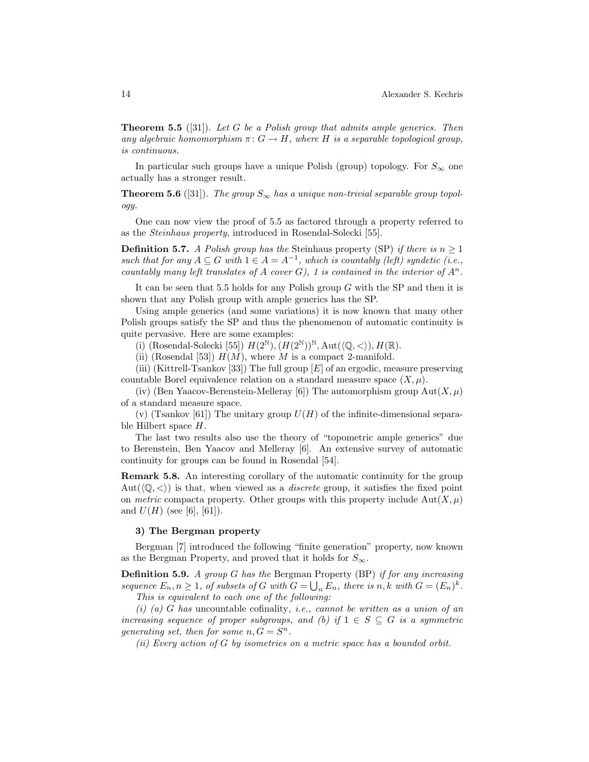**Theorem 5.5** ([31]). Let G be a Polish group that admits ample generics. Then any algebraic homomorphism  $\pi: G \to H$ , where H is a separable topological group, is continuous.

In particular such groups have a unique Polish (group) topology. For  $S_{\infty}$  one actually has a stronger result.

**Theorem 5.6** ([31]). The group  $S_{\infty}$  has a unique non-trivial separable group topology.

One can now view the proof of 5.5 as factored through a property referred to as the Steinhaus property, introduced in Rosendal-Solecki [55].

**Definition 5.7.** A Polish group has the Steinhaus property (SP) if there is  $n \geq 1$ such that for any  $A \subseteq G$  with  $1 \in A = A^{-1}$ , which is countably (left) syndetic (i.e., countably many left translates of A cover G), 1 is contained in the interior of  $A^n$ .

It can be seen that 5.5 holds for any Polish group  $G$  with the SP and then it is shown that any Polish group with ample generics has the SP.

Using ample generics (and some variations) it is now known that many other Polish groups satisfy the SP and thus the phenomenon of automatic continuity is quite pervasive. Here are some examples:

(i) (Rosendal-Solecki [55])  $H(2^{\mathbb{N}}), (H(2^{\mathbb{N}}))^{\mathbb{N}}, \text{Aut}(\langle\mathbb{Q}, \langle\rangle), H(\mathbb{R}).$ 

(ii) (Rosendal [53])  $H(M)$ , where M is a compact 2-manifold.

(iii) (Kittrell-Tsankov [33]) The full group  $[E]$  of an ergodic, measure preserving countable Borel equivalence relation on a standard measure space  $(X, \mu)$ .

(iv) (Ben Yaacov-Berenstein-Melleray [6]) The automorphism group  $Aut(X,\mu)$ of a standard measure space.

(v) (Tsankov [61]) The unitary group  $U(H)$  of the infinite-dimensional separable Hilbert space H.

The last two results also use the theory of "topometric ample generics" due to Berenstein, Ben Yaacov and Melleray [6]. An extensive survey of automatic continuity for groups can be found in Rosendal [54].

Remark 5.8. An interesting corollary of the automatic continuity for the group Aut $(\langle \mathbb{Q}, \langle \rangle)$  is that, when viewed as a *discrete* group, it satisfies the fixed point on metric compacta property. Other groups with this property include  $Aut(X,\mu)$ and  $U(H)$  (see [6], [61]).

#### 3) The Bergman property

Bergman [7] introduced the following "finite generation" property, now known as the Bergman Property, and proved that it holds for  $S_{\infty}$ .

**Definition 5.9.** A group  $G$  has the Bergman Property (BP) if for any increasing sequence  $E_n, n \geq 1$ , of subsets of G with  $G = \bigcup_n E_n$ , there is  $n, k$  with  $G = (E_n)^k$ . This is equivalent to each one of the following:

 $(i)$  (a) G has uncountable cofinality, *i.e.*, cannot be written as a union of an increasing sequence of proper subgroups, and (b) if  $1 \in S \subseteq G$  is a symmetric generating set, then for some  $n, G = S^n$ .

(ii) Every action of  $G$  by isometries on a metric space has a bounded orbit.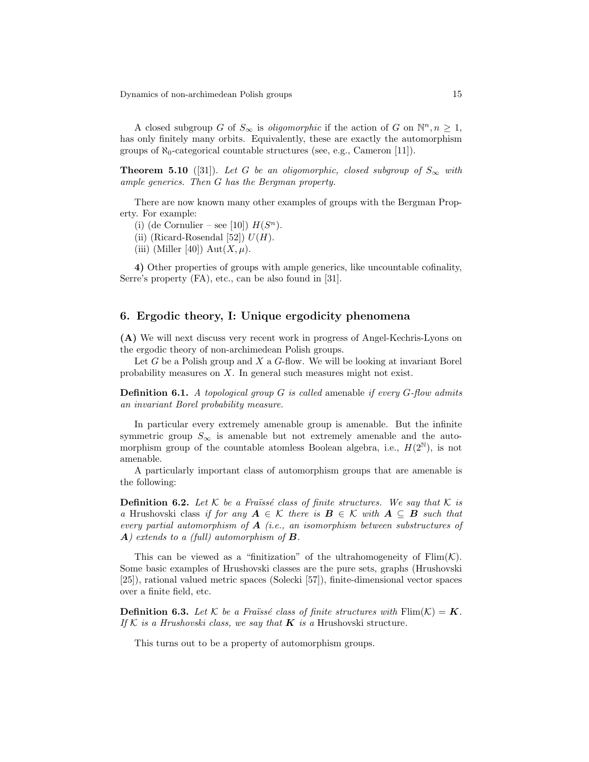A closed subgroup G of  $S_{\infty}$  is *oligomorphic* if the action of G on  $\mathbb{N}^n, n \geq 1$ , has only finitely many orbits. Equivalently, these are exactly the automorphism groups of  $\aleph_0$ -categorical countable structures (see, e.g., Cameron [11]).

**Theorem 5.10** ([31]). Let G be an oligomorphic, closed subgroup of  $S_{\infty}$  with ample generics. Then G has the Bergman property.

There are now known many other examples of groups with the Bergman Property. For example:

- (i) (de Cornulier see [10])  $H(S^n)$ .
- (ii) (Ricard-Rosendal [52])  $U(H)$ .
- (iii) (Miller [40])  $Aut(X,\mu)$ .

4) Other properties of groups with ample generics, like uncountable cofinality, Serre's property (FA), etc., can be also found in [31].

### 6. Ergodic theory, I: Unique ergodicity phenomena

(A) We will next discuss very recent work in progress of Angel-Kechris-Lyons on the ergodic theory of non-archimedean Polish groups.

Let G be a Polish group and  $X$  a G-flow. We will be looking at invariant Borel probability measures on X. In general such measures might not exist.

**Definition 6.1.** A topological group G is called amenable if every  $G$ -flow admits an invariant Borel probability measure.

In particular every extremely amenable group is amenable. But the infinite symmetric group  $S_{\infty}$  is amenable but not extremely amenable and the automorphism group of the countable atomless Boolean algebra, i.e.,  $H(2^{\mathbb{N}})$ , is not amenable.

A particularly important class of automorphism groups that are amenable is the following:

**Definition 6.2.** Let K be a Fraïssé class of finite structures. We say that K is a Hrushovski class if for any  $A \in \mathcal{K}$  there is  $B \in \mathcal{K}$  with  $A \subseteq B$  such that every partial automorphism of  $A$  (i.e., an isomorphism between substructures of  $\bf{A})$  extends to a (full) automorphism of  $\bf{B}$ .

This can be viewed as a "finitization" of the ultrahomogeneity of  $\text{Elim}(\mathcal{K})$ . Some basic examples of Hrushovski classes are the pure sets, graphs (Hrushovski [25]), rational valued metric spaces (Solecki [57]), finite-dimensional vector spaces over a finite field, etc.

**Definition 6.3.** Let K be a Fraüssé class of finite structures with  $\text{Flim}(\mathcal{K}) = \mathbf{K}$ . If K is a Hrushovski class, we say that **K** is a Hrushovski structure.

This turns out to be a property of automorphism groups.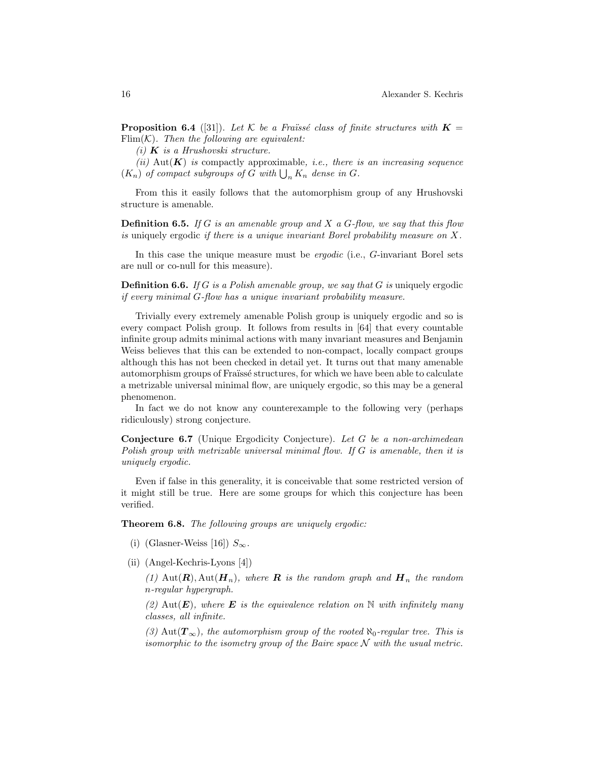**Proposition 6.4** ([31]). Let K be a Fraüssé class of finite structures with  $K =$ Flim $(K)$ . Then the following are equivalent:

(i)  $\boldsymbol{K}$  is a Hrushovski structure.

(ii) Aut( $\mathbf{K}$ ) is compactly approximable, i.e., there is an increasing sequence  $(K_n)$  of compact subgroups of G with  $\bigcup_n K_n$  dense in G.

From this it easily follows that the automorphism group of any Hrushovski structure is amenable.

**Definition 6.5.** If G is an amenable group and X a G-flow, we say that this flow is uniquely ergodic if there is a unique invariant Borel probability measure on  $X$ .

In this case the unique measure must be *ergodic* (i.e., *G*-invariant Borel sets are null or co-null for this measure).

**Definition 6.6.** If G is a Polish amenable group, we say that G is uniquely ergodic if every minimal G-flow has a unique invariant probability measure.

Trivially every extremely amenable Polish group is uniquely ergodic and so is every compact Polish group. It follows from results in [64] that every countable infinite group admits minimal actions with many invariant measures and Benjamin Weiss believes that this can be extended to non-compact, locally compact groups although this has not been checked in detail yet. It turns out that many amenable automorphism groups of Fraïssé structures, for which we have been able to calculate a metrizable universal minimal flow, are uniquely ergodic, so this may be a general phenomenon.

In fact we do not know any counterexample to the following very (perhaps ridiculously) strong conjecture.

Conjecture 6.7 (Unique Ergodicity Conjecture). Let G be a non-archimedean Polish group with metrizable universal minimal flow. If G is amenable, then it is uniquely ergodic.

Even if false in this generality, it is conceivable that some restricted version of it might still be true. Here are some groups for which this conjecture has been verified.

Theorem 6.8. The following groups are uniquely ergodic:

- (i) (Glasner-Weiss [16])  $S_{\infty}$ .
- (ii) (Angel-Kechris-Lyons [4])

(1) Aut $(\mathbf{R})$ , Aut $(\mathbf{H}_n)$ , where  $\mathbf{R}$  is the random graph and  $\mathbf{H}_n$  the random n-regular hypergraph.

(2) Aut(**E**), where **E** is the equivalence relation on N with infinitely many classes, all infinite.

(3) Aut $(T_{\infty})$ , the automorphism group of the rooted  $\aleph_0$ -regular tree. This is isomorphic to the isometry group of the Baire space  $N$  with the usual metric.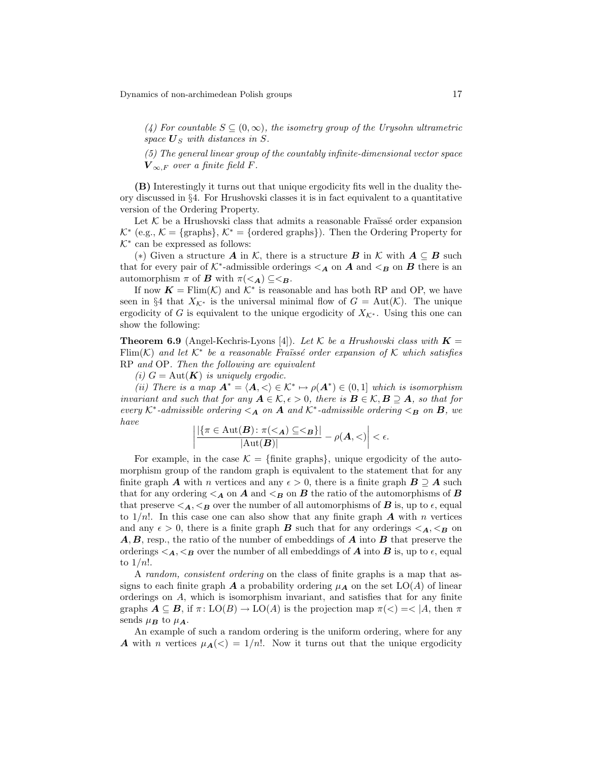(4) For countable  $S \subseteq (0,\infty)$ , the isometry group of the Urysohn ultrametric space  $\boldsymbol{U}_S$  with distances in S.

(5) The general linear group of the countably infinite-dimensional vector space  $V_{\infty}$  F over a finite field F.

(B) Interestingly it turns out that unique ergodicity fits well in the duality theory discussed in §4. For Hrushovski classes it is in fact equivalent to a quantitative version of the Ordering Property.

Let  $K$  be a Hrushovski class that admits a reasonable Fraïssé order expansion  $K^*$  (e.g.,  $K = \{\text{graphs}\}, K^* = \{\text{ordered graphs}\}\}.$  Then the Ordering Property for  $K^*$  can be expressed as follows:

(\*) Given a structure A in K, there is a structure B in K with  $A \subseteq B$  such that for every pair of  $K^*$ -admissible orderings  $\lt_A$  on  $A$  and  $\lt_B$  on  $B$  there is an automorphism  $\pi$  of **B** with  $\pi \leq A$   $\subseteq \leq B$ .

If now  $\mathbf{K} = \text{Elim}(\mathcal{K})$  and  $\mathcal{K}^*$  is reasonable and has both RP and OP, we have seen in §4 that  $X_{\mathcal{K}^*}$  is the universal minimal flow of  $G = \text{Aut}(\mathcal{K})$ . The unique ergodicity of G is equivalent to the unique ergodicity of  $X_{\mathcal{K}^*}$ . Using this one can show the following:

**Theorem 6.9** (Angel-Kechris-Lyons [4]). Let K be a Hrushovski class with  $\mathbf{K} =$ Flim(K) and let  $K^*$  be a reasonable Fraïssé order expansion of K which satisfies RP and OP. Then the following are equivalent

(i)  $G = \text{Aut}(\mathbf{K})$  is uniquely ergodic.

(ii) There is a map  $A^* = \langle A, \langle \rangle \in \mathcal{K}^* \mapsto \rho(A^*) \in (0,1]$  which is isomorphism invariant and such that for any  $A \in \mathcal{K}, \epsilon > 0$ , there is  $B \in \mathcal{K}, B \supseteq A$ , so that for every  $K^*$ -admissible ordering  $\lt_A$  on  $A$  and  $K^*$ -admissible ordering  $\lt_B$  on  $B$ , we have

$$
\left|\frac{|\{\pi \in \mathrm{Aut}(\mathbf{B}) \colon \pi(<_{\mathbf{A}}) \subseteq \leq_{\mathbf{B}}\}|}{|\mathrm{Aut}(\mathbf{B})|} - \rho(\mathbf{A}, <)\right| < \epsilon.
$$

For example, in the case  $\mathcal{K} = \{\text{finite graphs}\}\,$ , unique ergodicity of the automorphism group of the random graph is equivalent to the statement that for any finite graph **A** with n vertices and any  $\epsilon > 0$ , there is a finite graph  $B \supseteq A$  such that for any ordering  $\leq_{\mathbf{A}}$  on  $\mathbf{A}$  and  $\leq_{\mathbf{B}}$  on  $\mathbf{B}$  the ratio of the automorphisms of  $\mathbf{B}$ that preserve  $\langle A, \langle B \rangle$  over the number of all automorphisms of **B** is, up to  $\epsilon$ , equal to  $1/n!$ . In this case one can also show that any finite graph A with n vertices and any  $\epsilon > 0$ , there is a finite graph **B** such that for any orderings  $\langle A, \langle B \rangle$  on  $\vec{A}, \vec{B}$ , resp., the ratio of the number of embeddings of  $\vec{A}$  into  $\vec{B}$  that preserve the orderings  $\leq_{\mathbf{A}} \leq_{\mathbf{B}}$  over the number of all embeddings of  $\mathbf{A}$  into  $\mathbf{B}$  is, up to  $\epsilon$ , equal to  $1/n!$ .

A random, consistent ordering on the class of finite graphs is a map that assigns to each finite graph A a probability ordering  $\mu_A$  on the set  $LO(A)$  of linear orderings on A, which is isomorphism invariant, and satisfies that for any finite graphs  $A \subseteq B$ , if  $\pi: \text{LO}(B) \to \text{LO}(A)$  is the projection map  $\pi(<) = < |A|$ , then  $\pi$ sends  $\mu_B$  to  $\mu_A$ .

An example of such a random ordering is the uniform ordering, where for any **A** with n vertices  $\mu_{\mathbf{A}}(\langle) = 1/n!$ . Now it turns out that the unique ergodicity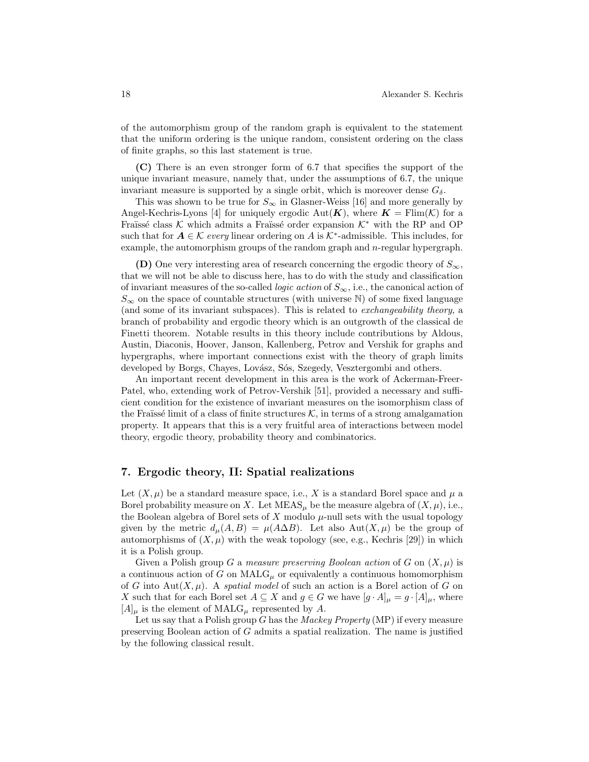of the automorphism group of the random graph is equivalent to the statement that the uniform ordering is the unique random, consistent ordering on the class of finite graphs, so this last statement is true.

(C) There is an even stronger form of 6.7 that specifies the support of the unique invariant measure, namely that, under the assumptions of 6.7, the unique invariant measure is supported by a single orbit, which is moreover dense  $G_{\delta}$ .

This was shown to be true for  $S_{\infty}$  in Glasner-Weiss [16] and more generally by Angel-Kechris-Lyons [4] for uniquely ergodic Aut( $\mathbf{K}$ ), where  $\mathbf{K} = \text{Flim}(\mathcal{K})$  for a Fraïssé class K which admits a Fraïssé order expansion  $K^*$  with the RP and OP such that for  $A \in \mathcal{K}$  every linear ordering on A is  $\mathcal{K}^*$ -admissible. This includes, for example, the automorphism groups of the random graph and  $n$ -regular hypergraph.

(D) One very interesting area of research concerning the ergodic theory of  $S_{\infty}$ , that we will not be able to discuss here, has to do with the study and classification of invariant measures of the so-called *logic action* of  $S_{\infty}$ , i.e., the canonical action of  $S_{\infty}$  on the space of countable structures (with universe N) of some fixed language (and some of its invariant subspaces). This is related to exchangeability theory, a branch of probability and ergodic theory which is an outgrowth of the classical de Finetti theorem. Notable results in this theory include contributions by Aldous, Austin, Diaconis, Hoover, Janson, Kallenberg, Petrov and Vershik for graphs and hypergraphs, where important connections exist with the theory of graph limits developed by Borgs, Chayes, Lovász, Sós, Szegedy, Vesztergombi and others.

An important recent development in this area is the work of Ackerman-Freer-Patel, who, extending work of Petrov-Vershik [51], provided a necessary and sufficient condition for the existence of invariant measures on the isomorphism class of the Fraüssé limit of a class of finite structures  $K$ , in terms of a strong amalgamation property. It appears that this is a very fruitful area of interactions between model theory, ergodic theory, probability theory and combinatorics.

### 7. Ergodic theory, II: Spatial realizations

Let  $(X, \mu)$  be a standard measure space, i.e., X is a standard Borel space and  $\mu$  a Borel probability measure on X. Let  $MEAS_\mu$  be the measure algebra of  $(X,\mu)$ , i.e., the Boolean algebra of Borel sets of  $X$  modulo  $\mu$ -null sets with the usual topology given by the metric  $d_{\mu}(A, B) = \mu(A \Delta B)$ . Let also  $Aut(X, \mu)$  be the group of automorphisms of  $(X, \mu)$  with the weak topology (see, e.g., Kechris [29]) in which it is a Polish group.

Given a Polish group G a measure preserving Boolean action of G on  $(X,\mu)$  is a continuous action of G on  $\text{MALG}_{\mu}$  or equivalently a continuous homomorphism of G into Aut $(X, \mu)$ . A spatial model of such an action is a Borel action of G on X such that for each Borel set  $A \subseteq X$  and  $g \in G$  we have  $[g \cdot A]_{\mu} = g \cdot [A]_{\mu}$ , where  $[A]_\mu$  is the element of MALG<sub> $\mu$ </sub> represented by A.

Let us say that a Polish group  $G$  has the *Mackey Property* (MP) if every measure preserving Boolean action of G admits a spatial realization. The name is justified by the following classical result.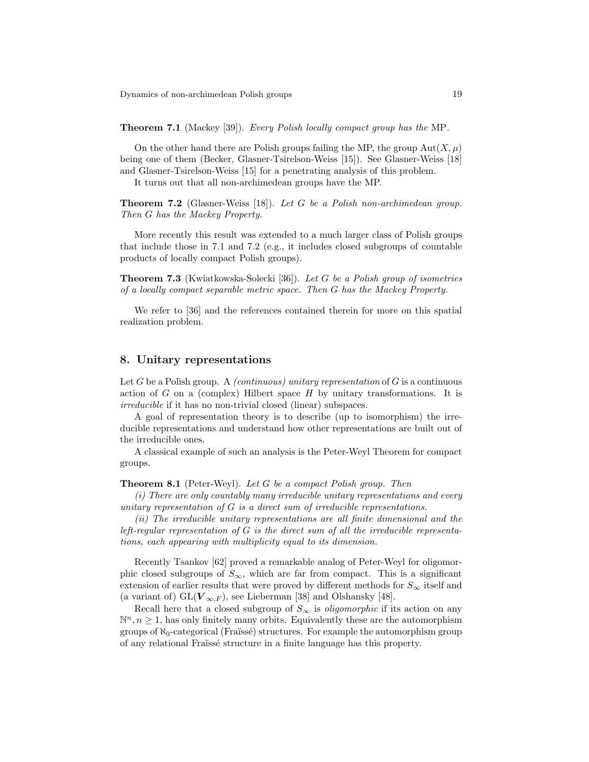Theorem 7.1 (Mackey [39]). Every Polish locally compact group has the MP.

On the other hand there are Polish groups failing the MP, the group  $Aut(X, \mu)$ being one of them (Becker, Glasner-Tsirelson-Weiss [15]). See Glasner-Weiss [18] and Glasner-Tsirelson-Weiss [15] for a penetrating analysis of this problem.

It turns out that all non-archimedean groups have the MP.

**Theorem 7.2** (Glasner-Weiss [18]). Let G be a Polish non-archimedean group. Then G has the Mackey Property.

More recently this result was extended to a much larger class of Polish groups that include those in 7.1 and 7.2 (e.g., it includes closed subgroups of countable products of locally compact Polish groups).

Theorem 7.3 (Kwiatkowska-Solecki [36]). Let G be a Polish group of isometries of a locally compact separable metric space. Then G has the Mackey Property.

We refer to [36] and the references contained therein for more on this spatial realization problem.

### 8. Unitary representations

Let G be a Polish group. A *(continuous) unitary representation* of  $G$  is a continuous action of G on a (complex) Hilbert space  $H$  by unitary transformations. It is irreducible if it has no non-trivial closed (linear) subspaces.

A goal of representation theory is to describe (up to isomorphism) the irreducible representations and understand how other representations are built out of the irreducible ones.

A classical example of such an analysis is the Peter-Weyl Theorem for compact groups.

**Theorem 8.1** (Peter-Weyl). Let G be a compact Polish group. Then

(i) There are only countably many irreducible unitary representations and every unitary representation of G is a direct sum of irreducible representations.

(ii) The irreducible unitary representations are all finite dimensional and the left-regular representation of  $G$  is the direct sum of all the irreducible representations, each appearing with multiplicity equal to its dimension.

Recently Tsankov [62] proved a remarkable analog of Peter-Weyl for oligomorphic closed subgroups of  $S_{\infty}$ , which are far from compact. This is a significant extension of earlier results that were proved by different methods for  $S_{\infty}$  itself and (a variant of)  $GL(\mathbf{V}_{\infty,F})$ , see Lieberman [38] and Olshansky [48].

Recall here that a closed subgroup of  $S_{\infty}$  is *oligomorphic* if its action on any  $\mathbb{N}^n, n \geq 1$ , has only finitely many orbits. Equivalently these are the automorphism groups of  $\aleph_0$ -categorical (Fraüssé) structures. For example the automorphism group of any relational Fraïssé structure in a finite language has this property.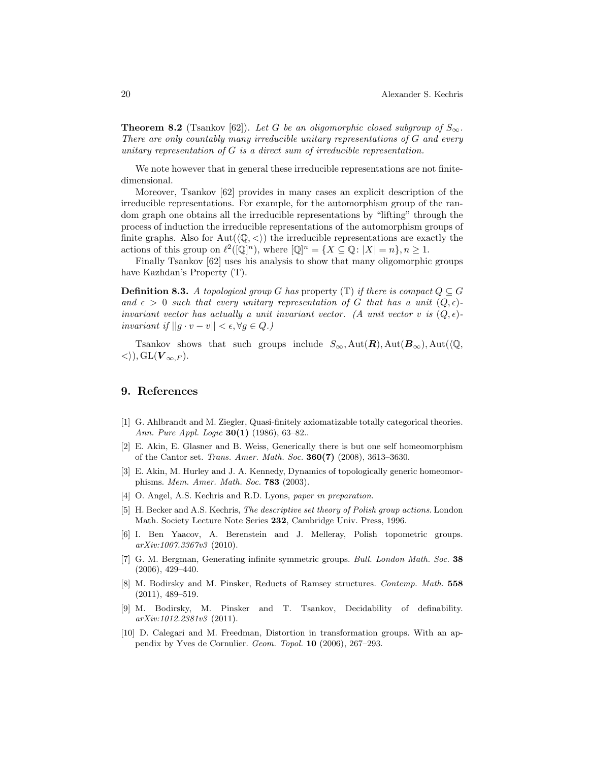**Theorem 8.2** (Tsankov [62]). Let G be an oligomorphic closed subgroup of  $S_{\infty}$ . There are only countably many irreducible unitary representations of G and every unitary representation of G is a direct sum of irreducible representation.

We note however that in general these irreducible representations are not finitedimensional.

Moreover, Tsankov [62] provides in many cases an explicit description of the irreducible representations. For example, for the automorphism group of the random graph one obtains all the irreducible representations by "lifting" through the process of induction the irreducible representations of the automorphism groups of finite graphs. Also for  $Aut(\langle \mathbb{Q}, \langle \rangle)$  the irreducible representations are exactly the actions of this group on  $\ell^2((\mathbb{Q}]^n)$ , where  $[\mathbb{Q}]^n = \{X \subseteq \mathbb{Q} : |X| = n\}, n \ge 1$ .

Finally Tsankov [62] uses his analysis to show that many oligomorphic groups have Kazhdan's Property (T).

**Definition 8.3.** A topological group G has property (T) if there is compact  $Q \subseteq G$ and  $\epsilon > 0$  such that every unitary representation of G that has a unit  $(Q, \epsilon)$ invariant vector has actually a unit invariant vector. (A unit vector v is  $(Q, \epsilon)$ ) invariant if  $||g \cdot v - v|| < \epsilon, \forall g \in Q.$ 

Tsankov shows that such groups include  $S_{\infty}$ , Aut $(\mathbf{R})$ , Aut $(\mathbf{\Phi}_{\infty})$ , Aut $(\mathbf{\Phi}_{\infty})$  $\langle \rangle$ , GL( $V_{\infty,F}$ ).

### 9. References

- [1] G. Ahlbrandt and M. Ziegler, Quasi-finitely axiomatizable totally categorical theories. Ann. Pure Appl. Logic **30(1)** (1986), 63-82..
- [2] E. Akin, E. Glasner and B. Weiss, Generically there is but one self homeomorphism of the Cantor set. Trans. Amer. Math. Soc. 360(7) (2008), 3613–3630.
- [3] E. Akin, M. Hurley and J. A. Kennedy, Dynamics of topologically generic homeomorphisms. Mem. Amer. Math. Soc. **783** (2003).
- [4] O. Angel, A.S. Kechris and R.D. Lyons, paper in preparation.
- [5] H. Becker and A.S. Kechris, The descriptive set theory of Polish group actions. London Math. Society Lecture Note Series 232, Cambridge Univ. Press, 1996.
- [6] I. Ben Yaacov, A. Berenstein and J. Melleray, Polish topometric groups. arXiv:1007.3367v3 (2010).
- [7] G. M. Bergman, Generating infinite symmetric groups. Bull. London Math. Soc. 38 (2006), 429–440.
- [8] M. Bodirsky and M. Pinsker, Reducts of Ramsey structures. Contemp. Math. 558 (2011), 489–519.
- [9] M. Bodirsky, M. Pinsker and T. Tsankov, Decidability of definability. arXiv:1012.2381v3 (2011).
- [10] D. Calegari and M. Freedman, Distortion in transformation groups. With an appendix by Yves de Cornulier. Geom. Topol. 10 (2006), 267–293.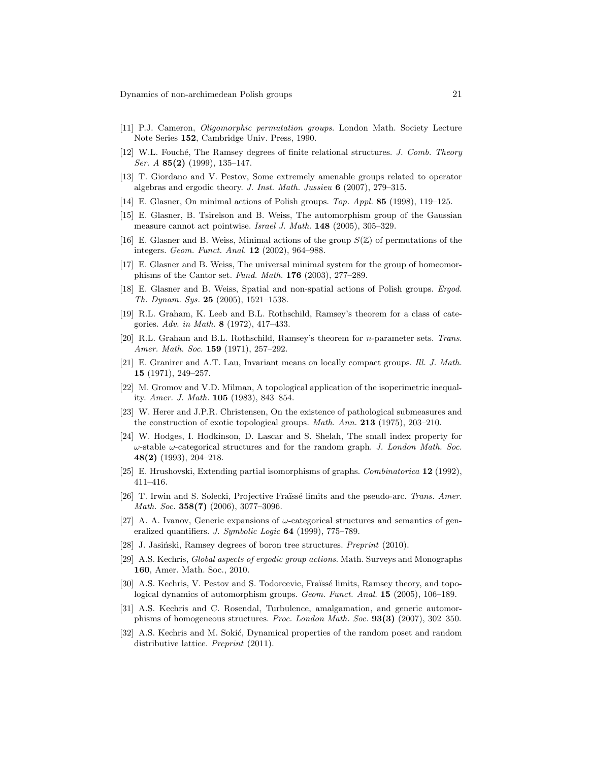- [11] P.J. Cameron, Oligomorphic permutation groups. London Math. Society Lecture Note Series 152, Cambridge Univ. Press, 1990.
- [12] W.L. Fouché, The Ramsey degrees of finite relational structures. J. Comb. Theory Ser. A 85(2) (1999), 135–147.
- [13] T. Giordano and V. Pestov, Some extremely amenable groups related to operator algebras and ergodic theory. J. Inst. Math. Jussieu 6 (2007), 279–315.
- [14] E. Glasner, On minimal actions of Polish groups. Top. Appl. 85 (1998), 119–125.
- [15] E. Glasner, B. Tsirelson and B. Weiss, The automorphism group of the Gaussian measure cannot act pointwise. Israel J. Math. 148 (2005), 305–329.
- [16] E. Glasner and B. Weiss, Minimal actions of the group  $S(\mathbb{Z})$  of permutations of the integers. Geom. Funct. Anal. 12 (2002), 964–988.
- [17] E. Glasner and B. Weiss, The universal minimal system for the group of homeomorphisms of the Cantor set. Fund. Math. 176 (2003), 277–289.
- [18] E. Glasner and B. Weiss, Spatial and non-spatial actions of Polish groups. Ergod. Th. Dynam. Sys.  $25$  (2005), 1521–1538.
- [19] R.L. Graham, K. Leeb and B.L. Rothschild, Ramsey's theorem for a class of categories. Adv. in Math. 8 (1972), 417–433.
- [20] R.L. Graham and B.L. Rothschild, Ramsey's theorem for n-parameter sets. Trans. Amer. Math. Soc. **159** (1971), 257-292.
- [21] E. Granirer and A.T. Lau, Invariant means on locally compact groups. Ill. J. Math. 15 (1971), 249–257.
- [22] M. Gromov and V.D. Milman, A topological application of the isoperimetric inequality. Amer. J. Math. 105 (1983), 843–854.
- [23] W. Herer and J.P.R. Christensen, On the existence of pathological submeasures and the construction of exotic topological groups. Math. Ann. 213 (1975), 203–210.
- [24] W. Hodges, I. Hodkinson, D. Lascar and S. Shelah, The small index property for  $\omega$ -stable  $\omega$ -categorical structures and for the random graph. J. London Math. Soc. 48(2) (1993), 204–218.
- [25] E. Hrushovski, Extending partial isomorphisms of graphs. Combinatorica 12 (1992), 411–416.
- [26] T. Irwin and S. Solecki, Projective Fraïssé limits and the pseudo-arc. Trans. Amer. Math. Soc. 358(7) (2006), 3077-3096.
- [27] A. A. Ivanov, Generic expansions of  $\omega$ -categorical structures and semantics of generalized quantifiers. J. Symbolic Logic 64 (1999), 775–789.
- [28] J. Jasiński, Ramsey degrees of boron tree structures. *Preprint* (2010).
- [29] A.S. Kechris, Global aspects of ergodic group actions. Math. Surveys and Monographs 160, Amer. Math. Soc., 2010.
- [30] A.S. Kechris, V. Pestov and S. Todorcevic, Fraïssé limits, Ramsey theory, and topological dynamics of automorphism groups. Geom. Funct. Anal. 15 (2005), 106–189.
- [31] A.S. Kechris and C. Rosendal, Turbulence, amalgamation, and generic automorphisms of homogeneous structures. Proc. London Math. Soc. 93(3) (2007), 302–350.
- [32] A.S. Kechris and M. Sokić, Dynamical properties of the random poset and random distributive lattice. Preprint (2011).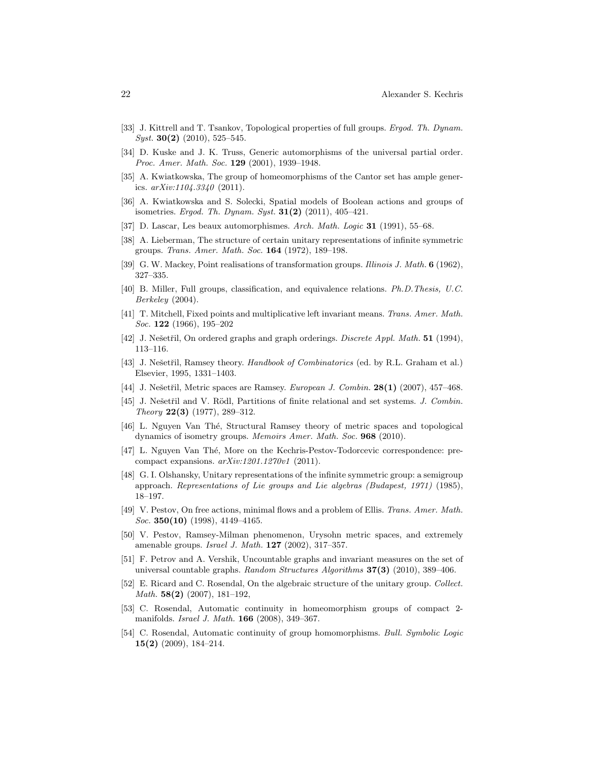- [33] J. Kittrell and T. Tsankov, Topological properties of full groups. *Ergod. Th. Dynam.*  $Syst.$  **30(2)** (2010), 525–545.
- [34] D. Kuske and J. K. Truss, Generic automorphisms of the universal partial order. Proc. Amer. Math. Soc. 129 (2001), 1939-1948.
- [35] A. Kwiatkowska, The group of homeomorphisms of the Cantor set has ample generics.  $arXiv:1104.3340$  (2011).
- [36] A. Kwiatkowska and S. Solecki, Spatial models of Boolean actions and groups of isometries. Ergod. Th. Dynam. Syst. 31(2) (2011), 405–421.
- [37] D. Lascar, Les beaux automorphismes. Arch. Math. Logic 31 (1991), 55–68.
- [38] A. Lieberman, The structure of certain unitary representations of infinite symmetric groups. Trans. Amer. Math. Soc. 164 (1972), 189–198.
- [39] G. W. Mackey, Point realisations of transformation groups. Illinois J. Math. 6 (1962), 327–335.
- [40] B. Miller, Full groups, classification, and equivalence relations. Ph.D.Thesis, U.C. Berkeley (2004).
- [41] T. Mitchell, Fixed points and multiplicative left invariant means. Trans. Amer. Math. Soc. **122** (1966), 195–202
- [42] J. Nešetřil, On ordered graphs and graph orderings. Discrete Appl. Math. 51 (1994), 113–116.
- [43] J. Nešetřil, Ramsey theory. Handbook of Combinatorics (ed. by R.L. Graham et al.) Elsevier, 1995, 1331–1403.
- [44] J. Nešetřil, Metric spaces are Ramsey. *European J. Combin.*  $28(1)$  (2007), 457–468.
- [45] J. Nešetřil and V. Rödl, Partitions of finite relational and set systems. J. Combin. Theory 22(3) (1977), 289–312.
- [46] L. Nguyen Van Thé, Structural Ramsey theory of metric spaces and topological dynamics of isometry groups. Memoirs Amer. Math. Soc. 968 (2010).
- [47] L. Nguyen Van Thé, More on the Kechris-Pestov-Todorcevic correspondence: precompact expansions.  $arXiv:1201.1270v1$  (2011).
- [48] G. I. Olshansky, Unitary representations of the infinite symmetric group: a semigroup approach. Representations of Lie groups and Lie algebras (Budapest, 1971) (1985), 18–197.
- [49] V. Pestov, On free actions, minimal flows and a problem of Ellis. Trans. Amer. Math. Soc. 350(10) (1998), 4149-4165.
- [50] V. Pestov, Ramsey-Milman phenomenon, Urysohn metric spaces, and extremely amenable groups. *Israel J. Math.* **127** (2002), 317-357.
- [51] F. Petrov and A. Vershik, Uncountable graphs and invariant measures on the set of universal countable graphs. Random Structures Algorithms  $37(3)$  (2010), 389–406.
- [52] E. Ricard and C. Rosendal, On the algebraic structure of the unitary group. Collect. Math. 58(2) (2007), 181–192,
- [53] C. Rosendal, Automatic continuity in homeomorphism groups of compact 2 manifolds. Israel J. Math. **166** (2008), 349-367.
- [54] C. Rosendal, Automatic continuity of group homomorphisms. Bull. Symbolic Logic 15(2) (2009), 184–214.